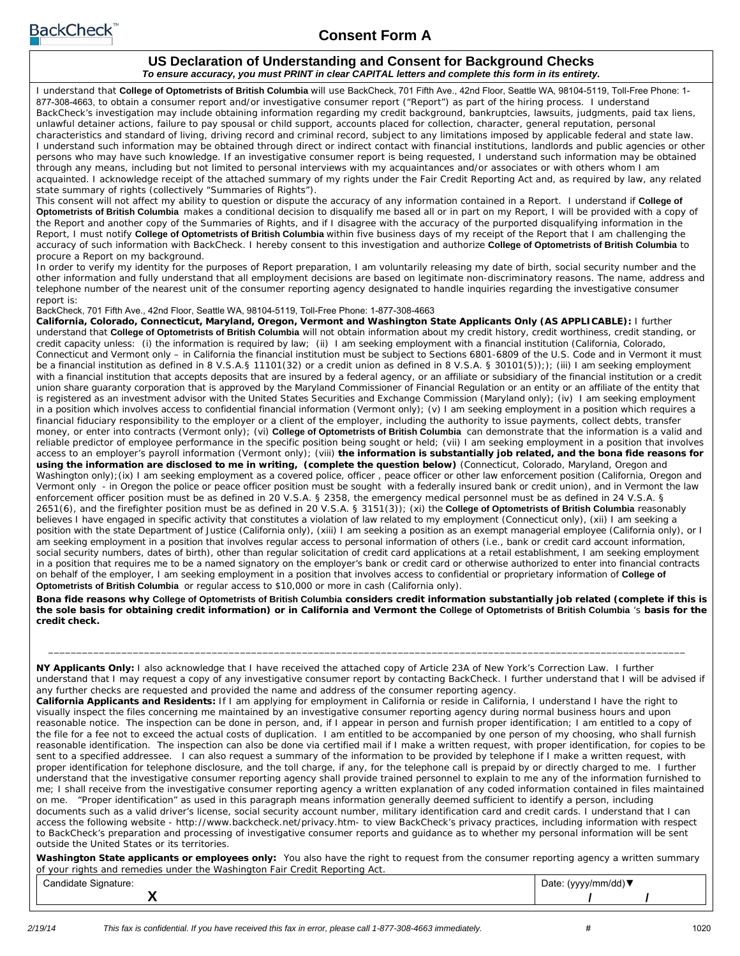

## **Consent Form A**

#### **US Declaration of Understanding and Consent for Background Checks** *To ensure accuracy, you must PRINT in clear CAPITAL letters and complete this form in its entirety.*

I understand that **College of Optometrists of British Columbia** will use BackCheck, 701 Fifth Ave., 42nd Floor, Seattle WA, 98104-5119, Toll-Free Phone: 1- 877-308-4663, to obtain a consumer report and/or investigative consumer report ("Report") as part of the hiring process. I understand BackCheck's investigation may include obtaining information regarding my credit background, bankruptcies, lawsuits, judgments, paid tax liens, unlawful detainer actions, failure to pay spousal or child support, accounts placed for collection, character, general reputation, personal characteristics and standard of living, driving record and criminal record, subject to any limitations imposed by applicable federal and state law. I understand such information may be obtained through direct or indirect contact with financial institutions, landlords and public agencies or other persons who may have such knowledge. If an investigative consumer report is being requested, I understand such information may be obtained through any means, including but not limited to personal interviews with my acquaintances and/or associates or with others whom I am acquainted. I acknowledge receipt of the attached summary of my rights under the Fair Credit Reporting Act and, as required by law, any related state summary of rights (collectively "Summaries of Rights").

This consent will not affect my ability to question or dispute the accuracy of any information contained in a Report. I understand if **College of Optometrists of British Columbia** makes a conditional decision to disqualify me based all or in part on my Report, I will be provided with a copy of the Report and another copy of the Summaries of Rights, and if I disagree with the accuracy of the purported disqualifying information in the Report, I must notify **College of Optometrists of British Columbia** within five business days of my receipt of the Report that I am challenging the accuracy of such information with BackCheck. I hereby consent to this investigation and authorize **College of Optometrists of British Columbia** to procure a Report on my background.

In order to verify my identity for the purposes of Report preparation, I am voluntarily releasing my date of birth, social security number and the other information and fully understand that all employment decisions are based on legitimate non-discriminatory reasons. The name, address and telephone number of the nearest unit of the consumer reporting agency designated to handle inquiries regarding the investigative consumer report is:

BackCheck, 701 Fifth Ave., 42nd Floor, Seattle WA, 98104-5119, Toll-Free Phone: 1-877-308-4663

**California, Colorado, Connecticut, Maryland, Oregon, Vermont and Washington State Applicants Only (AS APPLICABLE):** I further understand that **College of Optometrists of British Columbia** will not obtain information about my credit history, credit worthiness, credit standing, or credit capacity unless: (i) the information is required by law; (ii) I am seeking employment with a financial institution (California, Colorado, Connecticut and Vermont only – in California the financial institution must be subject to Sections 6801-6809 of the U.S. Code and in Vermont it must be a financial institution as defined in 8 V.S.A.§ 11101(32) or a credit union as defined in 8 V.S.A. § 30101(5));); (iii) I am seeking employment with a financial institution that accepts deposits that are insured by a federal agency, or an affiliate or subsidiary of the financial institution or a credit union share guaranty corporation that is approved by the Maryland Commissioner of Financial Regulation or an entity or an affiliate of the entity that is registered as an investment advisor with the United States Securities and Exchange Commission (Maryland only); (iv) I am seeking employment in a position which involves access to confidential financial information (Vermont only); (v) I am seeking employment in a position which requires a financial fiduciary responsibility to the employer or a client of the employer, including the authority to issue payments, collect debts, transfer money, or enter into contracts (Vermont only); (vi) **College of Optometrists of British Columbia** can demonstrate that the information is a valid and reliable predictor of employee performance in the specific position being sought or held; (vii) I am seeking employment in a position that involves access to an employer's payroll information (Vermont only); (viii) **the information is substantially job related, and the bona fide reasons for using the information are disclosed to me in writing, (complete the question below)** (Connecticut, Colorado, Maryland, Oregon and Washington only); (ix) I am seeking employment as a covered police, officer, peace officer or other law enforcement position (California, Oregon and Vermont only - in Oregon the police or peace officer position must be sought with a federally insured bank or credit union), and in Vermont the law enforcement officer position must be as defined in 20 V.S.A. § 2358, the emergency medical personnel must be as defined in 24 V.S.A. § 2651(6), and the firefighter position must be as defined in 20 V.S.A. § 3151(3)); (xi) the **College of Optometrists of British Columbia** reasonably believes I have engaged in specific activity that constitutes a violation of law related to my employment (Connecticut only), (xii) I am seeking a position with the state Department of Justice (California only), (xiii) I am seeking a position as an exempt managerial employee (California only), or I am seeking employment in a position that involves regular access to personal information of others (i.e., bank or credit card account information, social security numbers, dates of birth), other than regular solicitation of credit card applications at a retail establishment, I am seeking employment in a position that requires me to be a named signatory on the employer's bank or credit card or otherwise authorized to enter into financial contracts on behalf of the employer, I am seeking employment in a position that involves access to confidential or proprietary information of **College of Optometrists of British Columbia** or regular access to \$10,000 or more in cash (California only).

**Bona fide reasons why College of Optometrists of British Columbia considers credit information substantially job related (complete if this is the sole basis for obtaining credit information) or in California and Vermont the College of Optometrists of British Columbia** 's **basis for the credit check.**

**NY Applicants Only:** I also acknowledge that I have received the attached copy of Article 23A of New York's Correction Law. I further understand that I may request a copy of any investigative consumer report by contacting BackCheck. I further understand that I will be advised if any further checks are requested and provided the name and address of the consumer reporting agency.

 $\frac{1}{2}$  ,  $\frac{1}{2}$  ,  $\frac{1}{2}$  ,  $\frac{1}{2}$  ,  $\frac{1}{2}$  ,  $\frac{1}{2}$  ,  $\frac{1}{2}$  ,  $\frac{1}{2}$  ,  $\frac{1}{2}$  ,  $\frac{1}{2}$  ,  $\frac{1}{2}$  ,  $\frac{1}{2}$  ,  $\frac{1}{2}$  ,  $\frac{1}{2}$  ,  $\frac{1}{2}$  ,  $\frac{1}{2}$  ,  $\frac{1}{2}$  ,  $\frac{1}{2}$  ,  $\frac{1$ 

**California Applicants and Residents:** If I am applying for employment in California or reside in California, I understand I have the right to visually inspect the files concerning me maintained by an investigative consumer reporting agency during normal business hours and upon reasonable notice. The inspection can be done in person, and, if I appear in person and furnish proper identification; I am entitled to a copy of the file for a fee not to exceed the actual costs of duplication. I am entitled to be accompanied by one person of my choosing, who shall furnish reasonable identification. The inspection can also be done via certified mail if I make a written request, with proper identification, for copies to be sent to a specified addressee. I can also request a summary of the information to be provided by telephone if I make a written request, with proper identification for telephone disclosure, and the toll charge, if any, for the telephone call is prepaid by or directly charged to me. I further understand that the investigative consumer reporting agency shall provide trained personnel to explain to me any of the information furnished to me; I shall receive from the investigative consumer reporting agency a written explanation of any coded information contained in files maintained on me. "Proper identification" as used in this paragraph means information generally deemed sufficient to identify a person, including documents such as a valid driver's license, social security account number, military identification card and credit cards. I understand that I can access the following website - http://www.backcheck.net/privacy.htm- to view BackCheck's privacy practices, including information with respect to BackCheck's preparation and processing of investigative consumer reports and guidance as to whether my personal information will be sent outside the United States or its territories.

**Washington State applicants or employees only:** You also have the right to request from the consumer reporting agency a written summary of your rights and remedies under the Washington Fair Credit Reporting Act. Date: (yyyy/mm/dd)▼

Candidate Signature:

**X**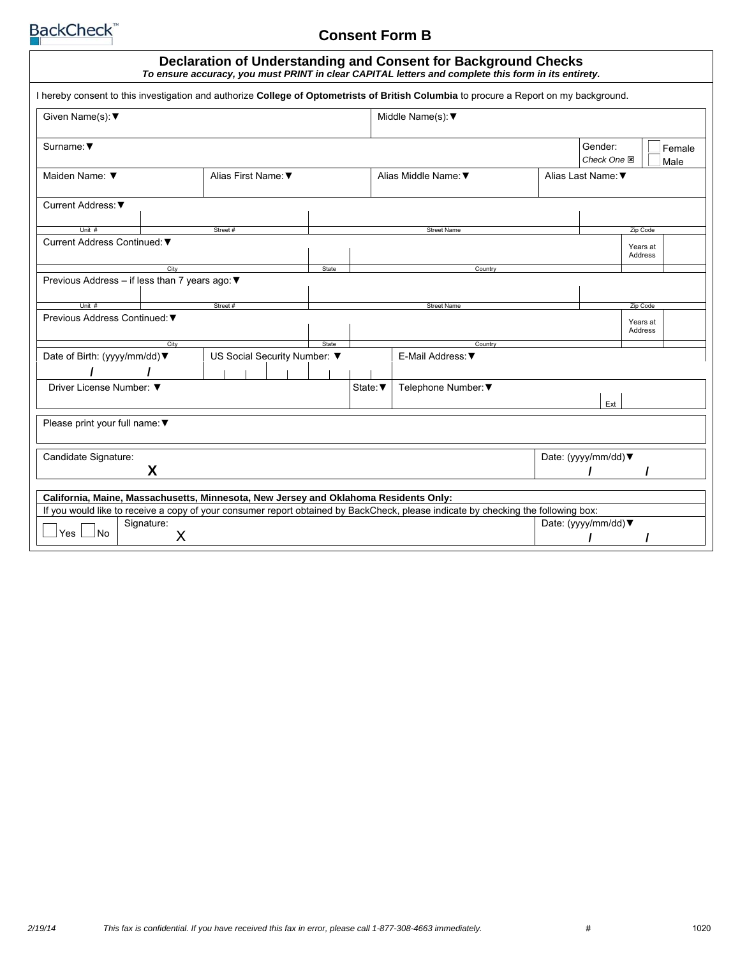

# **Consent Form B**

| Declaration of Understanding and Consent for Background Checks<br>To ensure accuracy, you must PRINT in clear CAPITAL letters and complete this form in its entirety. |                                                                                    |       |          |                                      |  |                        |                     |  |
|-----------------------------------------------------------------------------------------------------------------------------------------------------------------------|------------------------------------------------------------------------------------|-------|----------|--------------------------------------|--|------------------------|---------------------|--|
| I hereby consent to this investigation and authorize College of Optometrists of British Columbia to procure a Report on my background.                                |                                                                                    |       |          |                                      |  |                        |                     |  |
| Given Name(s): ▼                                                                                                                                                      |                                                                                    |       |          | Middle Name(s): $\blacktriangledown$ |  |                        |                     |  |
| Surname: $\blacktriangledown$                                                                                                                                         |                                                                                    |       |          |                                      |  | Gender:<br>Check One 国 | Female<br>Male      |  |
| Maiden Name: ▼                                                                                                                                                        | Alias First Name: ▼                                                                |       |          | Alias Middle Name: ▼                 |  | Alias Last Name: ▼     |                     |  |
| Current Address: ▼                                                                                                                                                    |                                                                                    |       |          |                                      |  |                        |                     |  |
| Unit #                                                                                                                                                                | Street#                                                                            |       |          | <b>Street Name</b>                   |  |                        | Zip Code            |  |
| Current Address Continued: ▼                                                                                                                                          |                                                                                    |       |          |                                      |  | Years at<br>Address    |                     |  |
| City                                                                                                                                                                  |                                                                                    | State |          | Country                              |  |                        |                     |  |
| Previous Address - if less than 7 years ago: ▼                                                                                                                        |                                                                                    |       |          |                                      |  |                        |                     |  |
| Unit #                                                                                                                                                                | Street#                                                                            |       |          | <b>Street Name</b>                   |  |                        | Zip Code            |  |
| Previous Address Continued: ▼                                                                                                                                         |                                                                                    |       |          |                                      |  |                        | Years at<br>Address |  |
| City                                                                                                                                                                  |                                                                                    | State |          | Country                              |  |                        |                     |  |
|                                                                                                                                                                       | Date of Birth: (yyyy/mm/dd) ▼<br>US Social Security Number: ▼<br>E-Mail Address: ▼ |       |          |                                      |  |                        |                     |  |
| Driver License Number: ▼                                                                                                                                              |                                                                                    |       | State: ▼ | Telephone Number: ▼                  |  | Ext                    |                     |  |
| Please print your full name: ▼                                                                                                                                        |                                                                                    |       |          |                                      |  |                        |                     |  |
| Candidate Signature:<br>Date: (yyyy/mm/dd) ▼<br>X                                                                                                                     |                                                                                    |       |          |                                      |  |                        |                     |  |
|                                                                                                                                                                       |                                                                                    |       |          |                                      |  |                        |                     |  |
| California, Maine, Massachusetts, Minnesota, New Jersey and Oklahoma Residents Only:                                                                                  |                                                                                    |       |          |                                      |  |                        |                     |  |
| If you would like to receive a copy of your consumer report obtained by BackCheck, please indicate by checking the following box:                                     |                                                                                    |       |          |                                      |  |                        |                     |  |
| Signature:<br>Date: (yyyy/mm/dd) $\nabla$<br>Yes<br><b>No</b><br>X                                                                                                    |                                                                                    |       |          |                                      |  |                        |                     |  |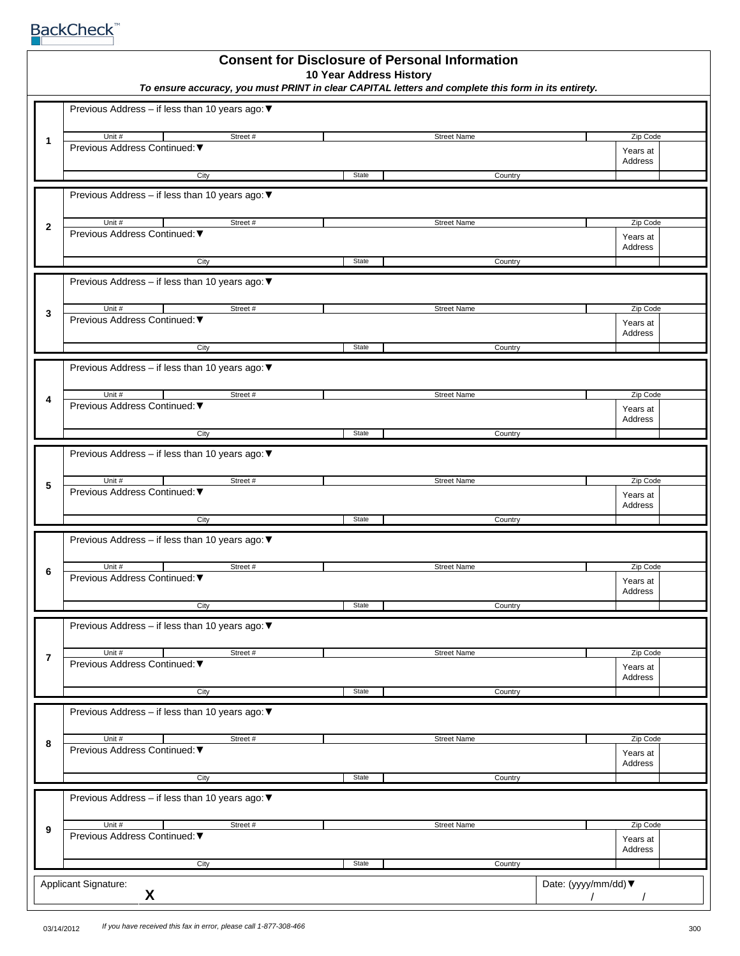**BackCheck**™

| <b>Consent for Disclosure of Personal Information</b><br>10 Year Address History<br>To ensure accuracy, you must PRINT in clear CAPITAL letters and complete this form in its entirety. |                                                                    |       |                    |                                 |
|-----------------------------------------------------------------------------------------------------------------------------------------------------------------------------------------|--------------------------------------------------------------------|-------|--------------------|---------------------------------|
|                                                                                                                                                                                         | Previous Address - if less than 10 years ago: ▼                    |       |                    |                                 |
| 1                                                                                                                                                                                       | Unit #<br>Street#<br>Previous Address Continued: ▼                 |       | <b>Street Name</b> | Zip Code<br>Years at<br>Address |
|                                                                                                                                                                                         | City                                                               | State | Country            |                                 |
|                                                                                                                                                                                         | Previous Address - if less than 10 years ago: ▼                    |       |                    |                                 |
| $\mathbf{2}$                                                                                                                                                                            | Unit #<br>Street#<br>Previous Address Continued: ▼                 |       | <b>Street Name</b> | Zip Code<br>Years at<br>Address |
|                                                                                                                                                                                         | City                                                               | State | Country            |                                 |
|                                                                                                                                                                                         | Previous Address – if less than 10 years ago: $\blacktriangledown$ |       |                    |                                 |
| 3                                                                                                                                                                                       | Unit #<br>Street#<br>Previous Address Continued: ▼                 |       | <b>Street Name</b> | Zip Code<br>Years at<br>Address |
|                                                                                                                                                                                         | City                                                               | State | Country            |                                 |
|                                                                                                                                                                                         | Previous Address - if less than 10 years ago: ▼                    |       |                    |                                 |
| 4                                                                                                                                                                                       | Unit #<br>Street#<br>Previous Address Continued: ▼                 |       | <b>Street Name</b> | Zip Code<br>Years at<br>Address |
|                                                                                                                                                                                         | City                                                               | State | Country            |                                 |
|                                                                                                                                                                                         | Previous Address - if less than 10 years ago: ▼<br>Unit #          |       |                    |                                 |
| 5                                                                                                                                                                                       | Street#<br>Previous Address Continued: ▼                           |       | <b>Street Name</b> | Zip Code<br>Years at<br>Address |
|                                                                                                                                                                                         | City                                                               | State | Country            |                                 |
|                                                                                                                                                                                         | Previous Address - if less than 10 years ago: ▼                    |       |                    |                                 |
| 6                                                                                                                                                                                       | Unit #<br>Street #<br>Previous Address Continued: ▼                |       | <b>Street Name</b> | Zip Code<br>Years at<br>Address |
|                                                                                                                                                                                         | City                                                               | State | Country            |                                 |
|                                                                                                                                                                                         | Previous Address - if less than 10 years ago: ▼                    |       |                    |                                 |
| $\overline{7}$                                                                                                                                                                          | Unit #<br>Street #<br>Previous Address Continued: ▼                |       | <b>Street Name</b> | Zip Code<br>Years at            |
|                                                                                                                                                                                         | City                                                               | State | Country            | Address                         |
|                                                                                                                                                                                         | Previous Address - if less than 10 years ago: ▼                    |       |                    |                                 |
| 8                                                                                                                                                                                       | Unit #<br>Street#                                                  |       | <b>Street Name</b> | Zip Code                        |
|                                                                                                                                                                                         | Previous Address Continued: ▼                                      |       |                    | Years at<br>Address             |
| City<br>State<br>Country                                                                                                                                                                |                                                                    |       |                    |                                 |
| Previous Address - if less than 10 years ago: ▼                                                                                                                                         |                                                                    |       |                    |                                 |
| 9                                                                                                                                                                                       | Unit #<br>Street#<br>Previous Address Continued: ▼                 |       | <b>Street Name</b> | Zip Code<br>Years at            |
|                                                                                                                                                                                         | City                                                               | State | Country            | Address                         |
|                                                                                                                                                                                         | Applicant Signature:<br>X                                          |       |                    | Date: (yyyy/mm/dd) ▼            |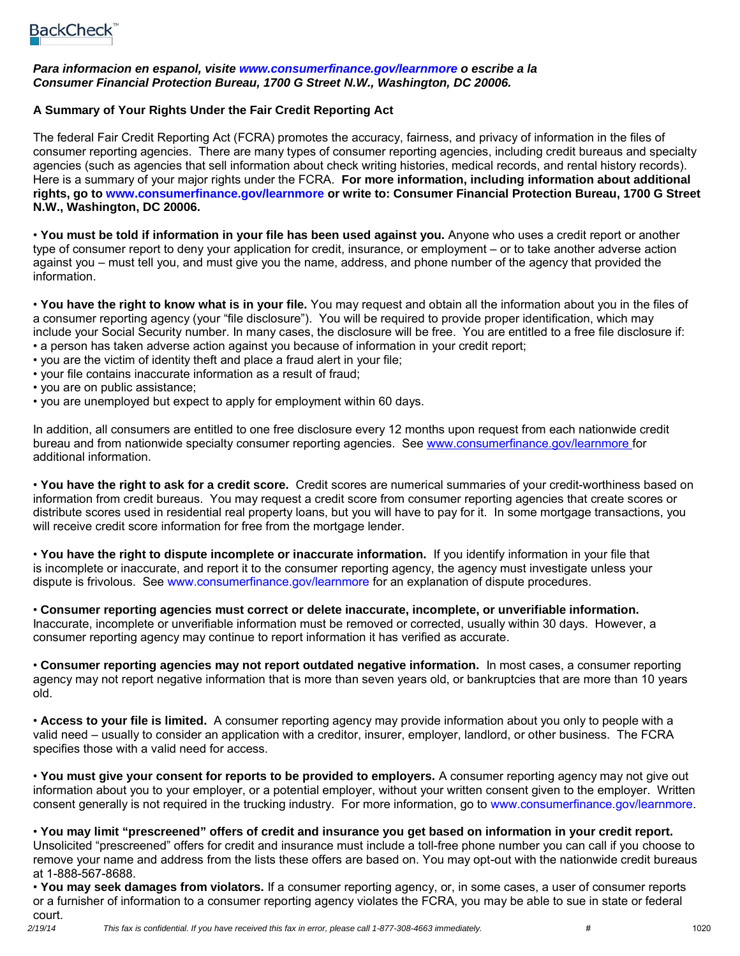### *Para informacion en espanol, visite www.consumerfinance.gov/learnmore o escribe a la Consumer Financial Protection Bureau, 1700 G Street N.W., Washington, DC 20006.*

### **A Summary of Your Rights Under the Fair Credit Reporting Act**

The federal Fair Credit Reporting Act (FCRA) promotes the accuracy, fairness, and privacy of information in the files of consumer reporting agencies. There are many types of consumer reporting agencies, including credit bureaus and specialty agencies (such as agencies that sell information about check writing histories, medical records, and rental history records). Here is a summary of your major rights under the FCRA. **For more information, including information about additional rights, go to www.consumerfinance.gov/learnmore or write to: Consumer Financial Protection Bureau, 1700 G Street N.W., Washington, DC 20006.**

• **You must be told if information in your file has been used against you.** Anyone who uses a credit report or another type of consumer report to deny your application for credit, insurance, or employment – or to take another adverse action against you – must tell you, and must give you the name, address, and phone number of the agency that provided the information.

• **You have the right to know what is in your file.** You may request and obtain all the information about you in the files of a consumer reporting agency (your "file disclosure"). You will be required to provide proper identification, which may include your Social Security number. In many cases, the disclosure will be free. You are entitled to a free file disclosure if: • a person has taken adverse action against you because of information in your credit report;

- you are the victim of identity theft and place a fraud alert in your file;
- your file contains inaccurate information as a result of fraud;
- you are on public assistance;
- you are unemployed but expect to apply for employment within 60 days.

In addition, all consumers are entitled to one free disclosure every 12 months upon request from each nationwide credit bureau and from nationwide specialty consumer reporting agencies. See www.consumerfinance.gov/learnmore for additional information.

• **You have the right to ask for a credit score.** Credit scores are numerical summaries of your credit-worthiness based on information from credit bureaus. You may request a credit score from consumer reporting agencies that create scores or distribute scores used in residential real property loans, but you will have to pay for it. In some mortgage transactions, you will receive credit score information for free from the mortgage lender.

• **You have the right to dispute incomplete or inaccurate information.** If you identify information in your file that is incomplete or inaccurate, and report it to the consumer reporting agency, the agency must investigate unless your dispute is frivolous. See www.consumerfinance.gov/learnmore for an explanation of dispute procedures.

• **Consumer reporting agencies must correct or delete inaccurate, incomplete, or unverifiable information.**  Inaccurate, incomplete or unverifiable information must be removed or corrected, usually within 30 days. However, a consumer reporting agency may continue to report information it has verified as accurate.

• **Consumer reporting agencies may not report outdated negative information.** In most cases, a consumer reporting agency may not report negative information that is more than seven years old, or bankruptcies that are more than 10 years old.

• **Access to your file is limited.** A consumer reporting agency may provide information about you only to people with a valid need – usually to consider an application with a creditor, insurer, employer, landlord, or other business. The FCRA specifies those with a valid need for access.

• **You must give your consent for reports to be provided to employers.** A consumer reporting agency may not give out information about you to your employer, or a potential employer, without your written consent given to the employer. Written consent generally is not required in the trucking industry. For more information, go to www.consumerfinance.gov/learnmore.

• **You may limit "prescreened" offers of credit and insurance you get based on information in your credit report.**  Unsolicited "prescreened" offers for credit and insurance must include a toll-free phone number you can call if you choose to remove your name and address from the lists these offers are based on. You may opt-out with the nationwide credit bureaus at 1-888-567-8688.

• **You may seek damages from violators.** If a consumer reporting agency, or, in some cases, a user of consumer reports or a furnisher of information to a consumer reporting agency violates the FCRA, you may be able to sue in state or federal court.